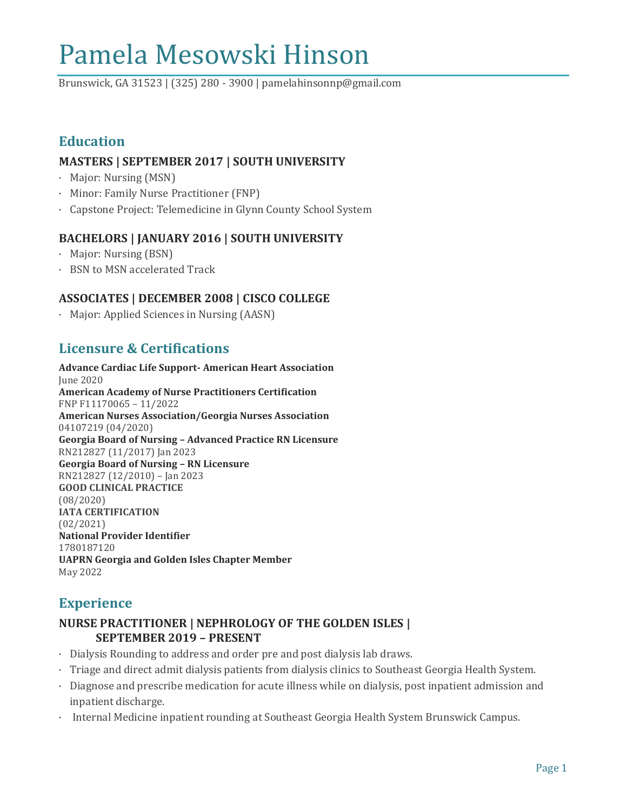# Pamela Mesowski Hinson

Brunswick, GA 31523 | (325) 280 - 3900 | pamelahinsonnp@gmail.com

# **Education**

## **MASTERS | SEPTEMBER 2017 | SOUTH UNIVERSITY**

- · Major: Nursing (MSN)
- · Minor: Family Nurse Practitioner (FNP)
- · Capstone Project: Telemedicine in Glynn County School System

# **BACHELORS | JANUARY 2016 | SOUTH UNIVERSITY**

- · Major: Nursing (BSN)
- · BSN to MSN accelerated Track

## **ASSOCIATES | DECEMBER 2008 | CISCO COLLEGE**

· Major: Applied Sciences in Nursing (AASN)

# **Licensure & Certifications**

**Advance Cardiac Life Support- American Heart Association** June 2020 **American Academy of Nurse Practitioners Certification** FNP F11170065 – 11/2022 **American Nurses Association/Georgia Nurses Association** 04107219 (04/2020) **Georgia Board of Nursing – Advanced Practice RN Licensure** RN212827 (11/2017) Jan 2023 **Georgia Board of Nursing – RN Licensure** RN212827 (12/2010) – Jan 2023 **GOOD CLINICAL PRACTICE** (08/2020) **IATA CERTIFICATION** (02/2021) **National Provider Identifier** 1780187120 **UAPRN Georgia and Golden Isles Chapter Member** May 2022

# **Experience**

## **NURSE PRACTITIONER | NEPHROLOGY OF THE GOLDEN ISLES | SEPTEMBER 2019 – PRESENT**

- · Dialysis Rounding to address and order pre and post dialysis lab draws.
- · Triage and direct admit dialysis patients from dialysis clinics to Southeast Georgia Health System.
- · Diagnose and prescribe medication for acute illness while on dialysis, post inpatient admission and inpatient discharge.
- · Internal Medicine inpatient rounding at Southeast Georgia Health System Brunswick Campus.